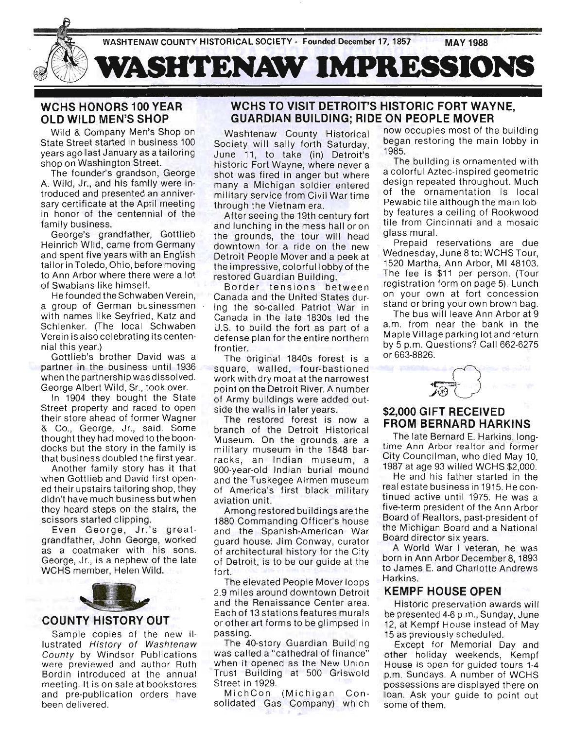

# WCHS HONORS 100 YEAR OLD WILD MEN'S SHOP

Wild & Company Men's Shop on State Street started in business 100 years ago last January as a tailoring shop on Washington Street.

The founder's grandson, George A. Wild, Jr., and his family were introduced and presented an anniversary certificate at the April meeting in honor of the centennial of the family business.

George's grandfather, Gottlieb Heinrich Wild, came from Germany and spent five years with an English tailor in Toledo, Ohio, before moving to Ann Arbor where there were a lot of Swabians like himself.

He founded the Schwaben Verein, a group of German businessmen with names like Seyfried, Katz and Schlenker. (The local Schwaben Verein is also celebrating its centennial this year.)

Gottlieb's brother David was a partner in the business until 1936 when the partnership was dissolved. George Albert Wild, Sr., took over.

In 1904 they bought the State Street property and raced to open their store ahead of former Wagner & Co., George, Jr., said. Some thought they had moved to the boondocks but the story in the family is that business doubled the first year.

Another family story has it that when Gottlieb and David first opened their upstairs tailoring shop, they didn't have much business but when they heard steps on the stairs, the scissors started clipping.

Even George, Jr.'s greatgrandfather, John George, worked as a coatmaker with his sons. George, Jr., is a nephew of the late WCHS member, Helen Wild.



#### COUNTY HISTORY OUT

Sample copies of the new illustrated History of Washtenaw County by Windsor Publications were previewed and author Ruth Bordin introduced at the annual meeting. It is on sale at bookstores and pre-publication orders have been delivered.

## WCHS TO VISIT DETROIT'S HISTORIC FORT WAYNE, GUARDIAN BUILDING; RIDE ON PEOPLE MOVER

Society will sally forth Saturday, began restoring the main lobby in June 11, to take (in) Detroit's 1985. historic Fort Wayne, where never a The building is ornamented with shot was fired in anger but where a colorful Aztec-inspired geometric many a Michigan soldier entered design repeated throughout. Much many a misingan solater entered of the ornamentation is local through the Vietnam era. Pewabic tile although the main lob-

and lunching in the mess hall or on tile from Cincinnati and a mosaic the grounds, the tour will head glass mural. downtown for a ride on the new Prepaid reservations are due Detroit People Mover and a peek at Wednesday, June 8 to: WCHS Tour, betient respie meter and a peer at 1520 Martha, Ann Arbor, MI 48103. restored Guardian Building. The fee is \$11 per person. (Tour

Canada and the United States dur- on your own at fort concession ing the so-called Patriot War in stand or bring your own brown bag. Canada in the late 1830s led the The bus will leave Ann Arbor at 9 U.S. to build the fort as part of a a.m. from near the bank in the defense plan for the entire northern Maple Village parking lot and return frontier. by 5 p.m. Questions? Call 662-6275 The original 1840s forest is a  $\sigma$  0.663-8826.

efense plan for the entire northern Maple Village parking lot<br>
ontier.<br>
The original 1840s forest is a <sup>or 663-8826</sup>.<br>
quare, walled, four-bastioned (015 with drumon) that square, walled, four-bastioned<br>work with dry moat at the narrowest point on the Detroit River. A number of Army buildings were added outside the walls in later years. \$2,000 GIFT RECEIVED

The restored forest is now a The restored forest is now a FROM BERNARD HARKINS<br>branch of the Detroit Historical Museum. On the grounds are a The late Bernard E. Harkins, longmilitary museum in the 1848 bar-<br>military museum in the 1848 barracks, an Indian museum, a City Councilman, who died May 10, 900-year-old Indian burial mound 1987 at age 93 willed WCHS \$2,000. and the Tuskegee Airmen museum He and his father started in the of America's first black military real estate business in 1915. He conaviation unit. the black initially tinued active until 1975. He was a

1880 Commanding Officer's house Board of Realtors, past-president of and the Spanish-American War the Michigan Board and a National guard house. Jim Conway, curator Board director six years. of architectural history for the City A World War I veteran, he was of Detroit, is to be our quide at the born in Ann Arbor December 8, 1893 fort. to James E. and Charlotte Andrews

...<br>The elevated People Mover loops Harkins. 2.9 miles around downtown Detroit KEMPF HOUSE OPEN and the Renaissance Center area. Each of 13 stations features murals or other art forms to be glimpsed in passing.

The 40-story Guardian Building was called a "cathedral of finance" when it opened as the New Union Trust Building at 500 Griswold Street in 1929.

MichCon (Michigan Consolidated Gas Company) which

Washtenaw County Historical now occupies most of the building

After seeing the 19th century fort by features a ceiling of Rookwood

Border tensions between registration form on page 5). Lunch



Among restored buildings are the five-term president of the Ann Arbor

Historic preservation awards will be presented 4-6 p.m., Sunday, June 12, at Kempf House instead of May 15 as previously scheduled.

Except for Memorial Day and other holiday weekends, Kempf House is open for guided tours 1-4 p.m. Sundays. A number of WCHS possessions are displayed there on loan. Ask your guide to point out some of them.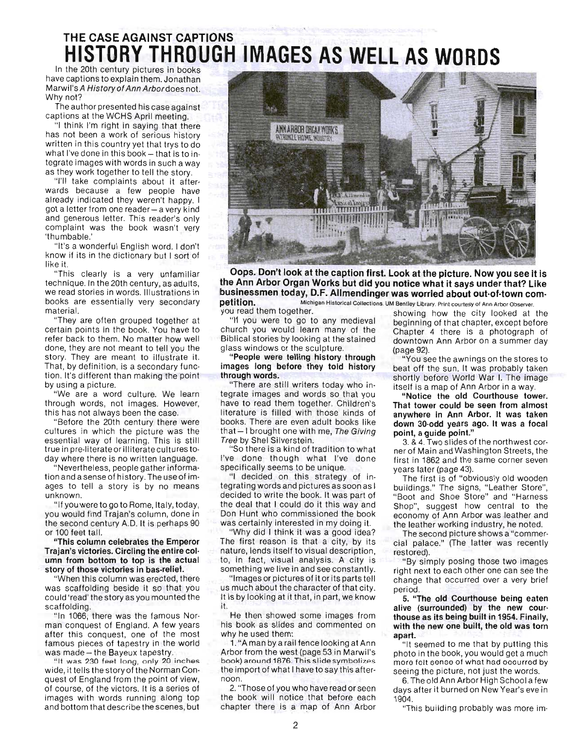# THE CASE AGAINST CAPTIONS **HISTORY THROUGH IMAGES AS WELL AS WORDS**

In the 20th century pictures in books have captions to explain them. Jonathan Marwil's A History of Ann Arbordoes not. Why not?

The author presented his case against captions at the WCHS April meeting.

"I think I'm right in saying that there has not been a work of serious history written in this country yet that trys to do what I've done in this book  $-$  that is to integrate images with words in such a way as they work together to tell the story.

"I'll take complaints about it afterwards because a few people have already indicated they weren't happy. I got a letter from one reader - a very kind and generous letter. This reader's only complaint was the book wasn't very 'thumbable.'

"It's a wonderful English word. I don't know if its in the dictionary but I sort of like it.

"This clearly is a very unfamiliar technique. In the 20th century, as adults, we read stories in words. Illustrations in books are essentially very secondary material.

"They are often grouped together at certain points in the book. You have to refer back to them. No matter how well done, they are not meant to tell you the story. They are meant to illustrate it. That, by definition, is a secondary function. It's different than making the point by using a picture.

"We are a word culture. We learn through words, not images. However, this has not always been the case.

"Before the 20th century there were cultures in which the picture was the essential way of learning. This is still true in pre-literate or illiterate cultures today where there is no written language.

"Nevertheless, people gather information and a sense of history. The use of images to tell a story is by no means unknown.

"If you were to go to Rome, Italy, today, you would find Trajan's column, done in the second century A.D. It is perhaps 90 or 100 feet tall.

"This column celebrates the Emperor Trajan's victories. Circling the entire col· umn from bottom to top is the actual story of those victories in bas·relief.

"When this column was erected, there was scaffolding beside it so that you could 'read' the story as you mounted the scaffolding.

"In 1066, there was the famous Nor· man conquest of England. A few years after this conquest, one of the most famous pieces of tapestry in the world was made - the Bayeux tapestry.<br>"It was 230 feet long, only 20 inches

wide, it tells the story of the Norman Con· quest of England from the point of view, of course, of the victors. It is a series of images with words running along top and bottom that describe the scenes, but



Oops. Don't look at the caption first. Look at the picture. Now you see it is the Ann Arbor Organ Works but did you notice what it says under that? Like businessmen today, D.F. Allmendinger was worried about out-of-town com-<br>petition. Michigan Historical Collections. UM Bentley Library, Print courtesy of Ann Arbor Cheener **petition.** Michigan Historical Collections. UM Bentley Library. Print courtesy of Ann Arbor Observer.<br>You read them together. showing how the city looked at

church you would learn many of the Chapter 4 there is a photograph of Biblical stories by looking at the stained downtown Ann Arbor on a summer day glass windows or the sculpture. (page 92).

"People were telling history through "You see the awnings on the stores to images long before they told history<br>through words.<br>shortly before World War L. The image

"There are still writers today who in· itself is a map of Ann Arbor in a way. tegrate images and words so that you involted the old Courthouse tower.<br>have to read them together. Children's a state tower could be seen from almost literature is filled with those kinds of anywhere in Ann Arbor. It was taken books. There are even adult books like down 30·odd years ago. It was a focal that  $-1$  brought one with me, The Giving point, a guide point."<br>Tree by Shel Silverstein. 3, 8.4 Two slides of

I've done though what I've done first in 1862 and the same corner seven specifically seems to be unique. years later (page 43).

"I decided on this strategy of in-<br>tegrating words and pictures as soon as buildings." The signs, "Leather Store". decided to write the book. It was part of "Boot and Shoe Store" and "Harness the deal that I could do it this way and Shop", suggest how central to the Don Hunt who commissioned the book economy of Ann Arbor was leather and was certainly interested in my doing it. the leather working industry be noted

"Why did I think it was a good idea? The second picture shows a "commer-The first reason is that a city, by its cial palace." (The latter was recently nature, lends itself to visual description, restored). to, in fact, visual analysis. A city is "By simply posing those two images something we live in and see constantly. right next to each other one can see the

us much about the character of that city. period. It is by looking at it that, in part, we know 5. "The old Courthouse being eaten

He then showed some images from thouse as its being built in 1954. Finally,<br>his book as slides and commented on with the new one built, the old was torn why he used them: **apart.** 

1. "A man by a rail fence looking at Ann "It seemed to me that by putting this Arbor from the west (page 53 in Marwil's photo in the book, you would get a much book) around 1876. This slide symbolizes more felt sense of what had oocurred by the import of what I have to say this after- seeing the picture, not just the words.

the book will notice that before each 1904

u read them together.<br>"If you were to go to any medieval beginning of that chapter except before beginning of that chapter, except before downtown Ann Arbor on a summer day

ough words.<br>"There are still writers today who in-<br>itself is a map of Ann Arbor in a way

That tower could be seen from almost

ee by Shel Silverstein.<br>"So there is a kind of tradition to what ener of Main and Washington Streets, the ner of Main and Washington Streets, the

buildings." The signs, "Leather Store", the leather working industry, he noted.

right next to each other one can see the "Images or pictures of it or its parts tell change that occurred over a very brief

it. alive (surrounded) by the new cour-<br>He then showed some images from thouse as its being built in 1954 Finally with the new one built, the old was torn

noon.<br>6. The old Ann Arbor High School a few<br>6. Those of you who have read or seen days after it burned on New Year's eve in days after it burned on New Year's eve in

chapter there is a map of Ann Arbor "This building probably was more im-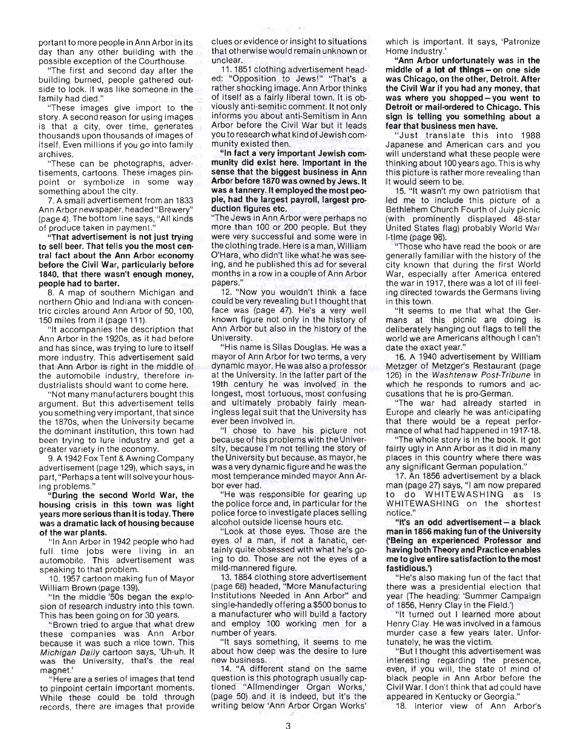portant to more people in Ann Arbor in its day than any other building with the possible exception of the Courthouse.

"The first and second day after the building burned, people gathered outside to look. It was like someone in the family had died."

"These images give import to the story. A second reason for using images is that a city, over time, generates thousands upon thousands of images of itself. Even millions if you go into family archives.

"These can be photographs, advertisements, cartoons. These images pinpoint or symbolize in some way something about the city.

7. A small advertisement from an 1833 Ann Arbor newspaper, headed "Brewery" (page 4). The bottom line says, "All kinds of the polloment and the says, respectively. of produce taken in payment."<br>"That advertisement is not just trying"

to sell beer. That tells you the most cen· tral fact about the Ann Arbor economy before the Civil War, particularly before 1840, that there wasn't enough money, people had to barter.

8. A map of southern Michigan and northern Ohio and Indiana with concentric circles around Ann Arbor of 50, 100, 150 miles from it (page 111).

"It accompanies the description that Ann Arbor in the 1920s, as it had before and has since, was trying to lure to itself more industry. This advertisement said that Ann Arbor is right in the middle of the automobile industry, therefore industrialists should want to come here.

"Not many manufacturers bought this argument. But this advertisement tells you something very important, that since the 1870s, when the University became the dominant institution, this town had been trying to lure industry and get a greater variety in the economy.

9. A 1942 Fox Tent & Awning Company advertisement (page 129), which says, in part, "Perhaps a tent will solve your housing problems."

"During the second World War, the housing crisis in this town was light years more serious than it is today. There was a dramatic lack of housing because of the war plants.

"In Ann Arb0r in 1942 people who had full time jobs were living in an automobile. This advertisement was speaking to that problem.

10.1957 cartoon making fun of Mayor William Brown (page 139).

"In the middle '50s began the explosion of research industry into this town. This has been going on for 30 years.

"Brown tried to argue that what drew these companies was Ann Arbor because it was such a nice town. This Michigan Daily cartoon says, 'Uh-uh. It momgan bany cartoon says, origin. It ras the "Here are a series of images that tend

to pinpoint certain important moments. While these could be told through records, there are images that provide clues or evidence or insight to situations that otherwise would remain unknown or unclear.

CALL.

 $-16 - 1$ 

11. 1851 clothing advertisement headed: "Opposition to Jews!" "That's a rather shocking image. Ann Arbor thinks of itself as a fairly liberal town. It is obviously anti-semitic comment. It not only informs you about anti-Semitism in Ann Arbor before the Civil War but it leads you to research what kind of Jewish community existed then.

"In fact a very important Jewish com· munity did exist here. Important in the sense that the biggest business in Ann Arbor before 1870 was owned by Jews. It was a tannery. It employed the most peo· pie, had the largest payroll, largest pro· duction figures etc.

"The Jews in Ann Arborwere perhaps no more than 100 or 200 people. But they were very successful and some were in the clothing trade. Here is a man, William O'Hara, who didn't like what·he was seeing, and he published this ad for several months in a row in a couple of Ann Arbor.  $p_0$ papers."<br>12. "Now you wouldn't think a face

could be very revealing but I thought that face was (page 47). He's a very well known figure not only in the history of Ann Arbor but also in the history of the University.

"His name is Silas Douglas. He was a mayor of Ann Arbor for two terms, a very dynamic mayor. He was also a professor at the University. In the latter part of the 19th century he was involved in the longest, most tortuous, most confusing and ultimately probably fairly meaningless legal suit that the University has ever been involved in.

"I chose to have his picture not because of his problems with the University, because I'm not telling the story of the University but because, as mayor, he was a very dynamic figure and he was the most temperance minded mayor Ann Arbor ever had.

"He was responsible for gearing up the police force and, in particular for the police force to investigate places selling alcohol outside license hours etc.

" Look at those eyes. Those are the eyes of a man, if not a fanatic, certainly quite obsessed with what he's going to do. Those are not the eyes of a mild-mannered figure.

13. 1884 clothing store advertisement (page 68) headed, "More Manufacturing Institutions Needed in Ann Arbor" and single-handedly offering a \$500 bonus to a manufacturer who will build a factory and employ 100 working men for a number of years.

"It says something, it seems to me about how deep was the desire to lure new business.

14. "A different stand on the same question is this photograph usually captioned "Allmendinger Organ Works,' (page 50) and it is indeed, but it's the writing below 'Ann Arbor Organ Works'

which is important. It says, 'Patronize Home Industry.'

"Ann Arbor unfortunately was in the middle of a lot of things - on one side was Chicago, on the other, Detroit. After the Civil War if you had any money, that was where you shopped - you went to Detroit or mail·ordered to Chicago. This sign is telling you something about a fear that business men have.

"Just translate this into 1988 Japanese and American cars and you will understand what these people were thinking about 100 years ago. This is why this picture is rather more revealing than it would seem to be.

15. "It wasn't my own patriotism that led me to include this picture of a Bethlehem Church Fourth of July picnic (with prominently displayed 48-star United States flag) probably World War I-time (page 98).

"Those who have read the book or are generally familiar with the history of the city known that during the first World War, especially after America entered the war in 1917, there was a lot of ill feeling directed towards the Germans living in this town.

"It seems to me that what the Germans at this picnic are doing is deliberately hanging out flags to tell the world we are Americans although I can't date the exact year."

16. A 1940 advertisement by William Metzger of Metzger's Restaurant (page 126) in the Washtenaw Post-Tribune in which he responds to rumors and accusations that he is pro-German.

"The war had already started in Europe and clearly he was anticipating that there would be a repeat performance of what had happened in 1917-18.

"The whole story is in the book. It got fairly ugly in Ann Arbor as it did in many places in this country where there was any significant German population."

17. An 1856 advertisement by a black man (page 27) says, "I am now prepared to do WHITEWASHING as is WHITEWASHING on the shortest notice."

"It's an odd advertisement - a black man in 1856 making fun of the University ('Being an experienced Professor and having both Theory and Practice enables me to give entire satisfaction to the most fastidious.')

"He's also making fun of the fact that there was a presidential election that year (The heading: 'Summer Campaign of 1856, Henry Clay in the Field.')

"It turned out I learned more about Henry Clay. He was involved in a famous murder case a few years later. Unfortunately, he was the victim.

"But I thought this advertisement was interesting regarding the presence, even, if you will, the state of mind of black people in Ann Arbor before the Civil War. I don't think that ad could have appeared in Kentucky or Georgia."

18. Interior view of Ann Arbor's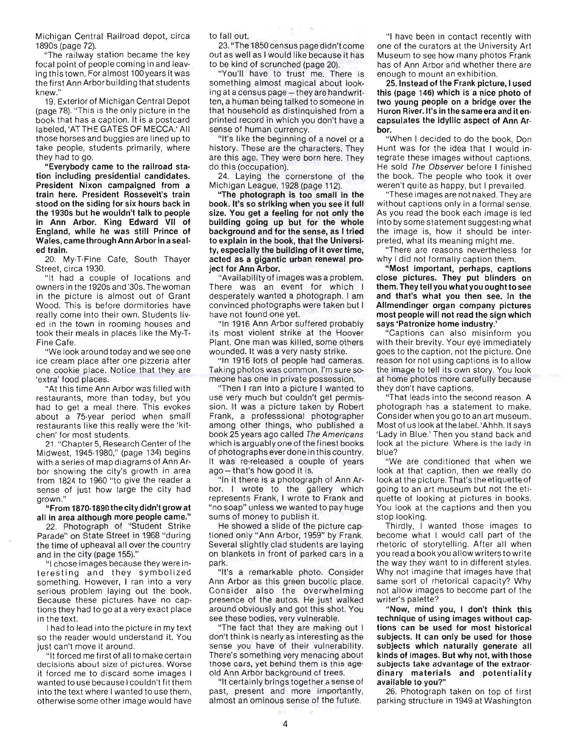Michigan Central Railroad depot, circa 1890s (page 72).

"The railway station became the key focal point of people coming in and leaving this town. For almost 100years it was the first Ann Arbor building that students knew."

19. Exterior of Michigan Central Depot (page 78). "This is the only picture in the book that has a caption. It is a postcard labeled, 'ATTHE GATES OF MECCA.' All those horses and buggies are lined up to take people, students primarily, where they had to go.

"Everybody came to the railroad sta· tion including presidential candidates. President Nixon campaigned from a train here. President Rossevelt's train stood on the siding for six hours back in the 1930s but he wouldn't talk to people in Ann Arbor. King Edward VII of England, while he was still Prince of Wales, came through Ann Arbor in a seal· ed train.

20. My·T-Fine Cafe, South Thayer Street, circa 1930.

"It had a couple of locations and owners in the 1920s and '30s. The woman in the picture is almost out of Grant Wood. This is before dormitories have really come into their own. Students liv· ed in the town in rooming houses and took their meals in places like the My-T-Fine Cafe.

"We look around today and we see one ice cream place after one pizzeria after one cookie place. Notice that they are 'extra' food places.

"At this time Ann Arbor was filled with restaurants, more than today, but you had to get a meal there. This evokes about a 75-year period when small restaurants like this really were the 'kit· chen' for most students.

21 . "Chapter 5, Research Center of the Midwest, 1945-1980," (page 134) begins with a series of map diagrams of Ann Arbor showing the city's growth in area from 1824 to 1960 "to give the reader a sense of just how large the city had grown."

"From 1870-1890 the city didn't grow at all in area although more people came."

22. Photograph of "Student Strike Parade" on State Street in 1968 "during the time of upheaval all over the country and in the city (page 155)."

"I chose images because they were in· teresting and they symbolized something. However, I ran into a very serious problem laying out the book. Because these pictures have no captions they had to go at a very exact place in the text.

I had to lead into the picture in my text so the reader would understand it. You just can't move it around.

"It forced me first of all to make certain decisions about size of pictures. Worse it forced me to discard some images I wanted to use because I couldn't fit them into the text where I wanted to use them, otherwise some other image would have to fall out.

23. "The 1850 census page didn't come out as well as I would like because it has to be kind of scrunched (page 20).

"You'll have to trust me. There is something almost magical about looking at a census page - they are handwritten, a human being talked to someone in that household as distinquished from a printed record in which you don't have a sense of human currency.

"It's like the beginning of a novel or a history. These are the characters. They are this age. They were born here. They do this (occupation).

24. Laying the cornerstone of the Michigan League, 1928 (page 112).

"The photograph is too small in the book. It's so striking when you see it full size. You get a feeling for not only the building going up but for the whole background and for the sense, as I tried to explain in the book, that the Universi· ty, especially the building of it over time, acted as a gigantic urban renewal pro· ject for Ann Arbor.

"Availability of images was a problem. There was an event for which I desperately wanted a photograph. I am convinced photographs were taken but I have not found one yet.

"In 1916 Ann Arbor suffered probably its most violent strike at the Hoover Plant. One man was killed, some others wounded. It was a very nasty strike.

"In 1916 lots of people had cameras. Taking photos was common. I'm sure someone has one in private possession.

"Then I ran into a picture I wanted to use very much but couldn't get permis· sion. It was a picture taken by Robert Frank, a professsional photographer among other things, who published a book 25 years ago called The Americans which is arguably one of the finest books of photographs ever done in this country. It was re-released a couple of years ago - that's how good it is.

"In it there is a photograph of Ann Arbor. I wrote to the gallery which represents Frank, I wrote to Frank and "no soap" unless we wanted to pay huge sums of money to publish it.

He showed a slide of the picture cap· tioned oniy "Ann Arbor, 1959" by Frank. Several slightly clad students are laying on blankets in front of parked cars in a park.

"It's a remarkable photo. Consider Ann Arbor as this green bucolic place. Consider also the overwhelming presence of the autos. He just walked around obviously and got this shot. You see these bodies, very vulnerable.

"The fact that they are making out I don't think is nearly as interesting as the sense you have of their vulnerability. There's something very menacing about those cars, yet behind them is this age· old Ann Arbor background of trees.

"It certainly brings together a sense of past, present and more importantly, almost an ominous sense of the future.

"I have been in contact recently with one of the curators at the University Art Museum to see how many photos Frank has of Ann Arbor and whether there are enough to mount an exhibition.

25. Instead of the Frank picture, I used this (page 146) which is a nice photo of two young people on a bridge over the Huron River. It's in the same era and it en· capsulates the idyllic aspect of Ann Ar· bar.

"When I decided to do the book, Don Hunt was for the idea that I would integrate these images without captions. He sold The Observer before I finished the book. The people who took it over weren't quite as happy, but I prevailed.

"These images are not naked. They are without captions only in a formal sense. As you read the book each image is led into by some statement suggesting what the image is, how it should be inter· preted, what its meaning might me.

"There are reasons nevertheless for why I did not formally caption them.

"Most important, perhaps, captions close pictures. They put blinders on them. They tell you what you ought to see and that's what you then see. In the Allmendinger organ company pictures most people will not read the sign which says 'Patronize home industry.'

"Captions can also misinform you with their brevity. Your eye immediately goes to the caption, not the picture. One reason for not using captions is to allow the image to tell its own story. You look at home photos more carefully because they don't have captions.

"That leads into the second reason. A photograph has a statement to make. Consider when you go to an art museum. Most of us look at the label. 'Ahhh.lt says 'Lady in Blue.' Then you stand back and look at the picture. Where is the lady in blue?

"We are conditioned that when we look at that caption, then we really do look at the picture. That's the etiquette of going to an art museum but not the eti· quette of looking at pictures in books. You look at the captions and then you stop looking.

Thirdly, I wanted those images to become what I would call part of the rhetoric of storytelling. After all when you read a book you allow writers to write the way they want to in different styles. Why not imagine that images have that same sort of rhetorical capacity? Why not allow images to become part of the writer's palette?

"Now, mind you, I don't think this technique of using images without cap· tions can be used for most historical subjects. It can only be used for those subjects which naturally generate all kinds of images. But why not, with those subjects take advantage of the extraordinary materials and potentiality available to you?"

26. Photograph taken on top of first parking structure in 1949 at Washington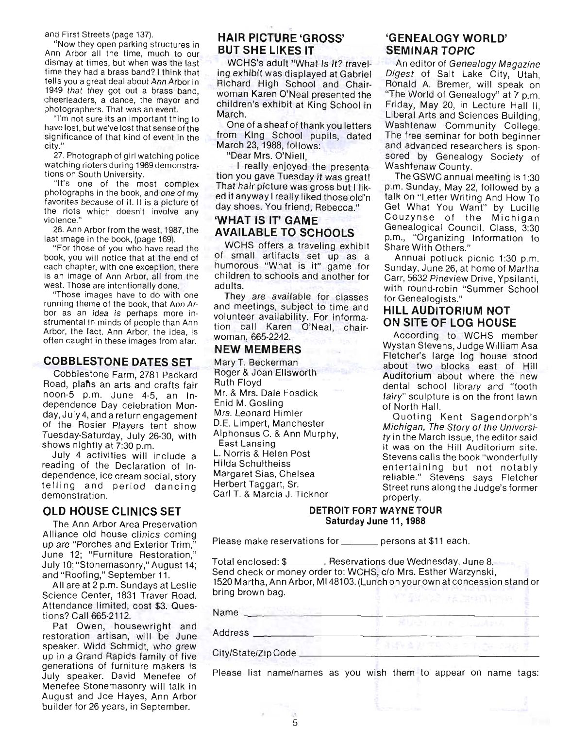and First Streets (page 137).

"Now they open parking structures in Ann Arbor all the time, much to our dismay at times, but when was the last time they had a brass band? I think that tells you a great deal about Ann Arbor in 1949 that they got out a brass band, cheerleaders, a dance, the mayor and photographers. That was an event.

"I'm not sure its an important thing to have lost, but we've lost that sense of the significance of that kind of event in the city."

27. Photograph of girl watching police watching rioters during 1969 demonstrations on South University.

"It's one of the most complex photographs in the book, and one of my favorites because of it. It is a picture of the riots which doesn't involve any violence."

28. Ann Arbor from the west, 1987, the last image in the book, (page 169).

"For those of you who have read the book, you will notice that at the end of each chapter, with one exception, there is an image of Ann Arbor, all from the west. Those are intentionally done.

"Those images have to do with one running theme of the book, that Ann Arbor as an idea is perhaps more instrumental in minds of people than Ann Arbor, the fact. Ann Arbor, the idea, is often caught in these images from afar.

#### **COBBLESTONE DATES SET**

Cobblestone Farm, 2781 Packard Road, plans an arts and crafts fair noon-5 p.m. June 4-5, an Independence Day celebration Monday, July4, and a return engagement of the Rosier Players tent show Tuesday-Saturday, July 26-30, with shows nightly at 7:30 p.m.

July 4 activities will include a reading of the Declaration of Independence, ice cream social, story telling and period dancing demonstration.

#### **OLD HOUSE CLINICS SET**

The Ann Arbor Area Preservation Alliance old house clinics coming up are "Porches and Exterior Trim, June 12; "Furniture Restoration," July 10; "Stonemasonry," August 14; and "Roofing," September 11.

All are at 2 p.m. Sundays at Leslie Science Center, 1831 Traver Road. Attendance limited, cost \$3. Questions? Call 665-2112.

Pat Owen, housewright and restoration artisan, will be June speaker. Widd Schmidt, who grew up in a Grand Rapids family of five generations of furniture makers is July speaker. David Menefee of Menefee Stonemasonry will talk in August and Joe Hayes, Ann Arbor builder for 26 years, in September.

# **HAIR PICTURE 'GROSS' BUT SHE LIKES IT**

WCHS's adult "What Is It? traveling exhibit was displayed at Gabriel Richard High School and Chairwoman Karen O'Neal presented the children's exhibit at King School in March.

One of a sheaf of thank you letters from King School pupils, dated March 23, 1988, follows:

"Dear Mrs. O'Niell,

I really enjoyed the presentation you gave Tuesday it was great! That hair picture was gross but I liked it anyway I really liked those old'n day shoes. You friend, Rebecca."

# **'WHAT IS IT' GAME AVAILABLE TO SCHOOLS**

WCHS offers a traveling exhibit of small artifacts set up as a humorous "What is it" game for children to schools and another for adults.

They are available for classes and meetings, subject to time and volunteer availability. For information call Karen O'Neal, chairwoman, 665-2242.

### **NEW MEMBERS**

Mary T. Beckerman Roger & Joan Ellsworth Ruth Floyd Mr. & Mrs. Dale Fosdick Enid M. Gosling Mrs. Leonard Himler D.E. Limpert, Manchester Alphonsus C. & Ann Murphy, East Lansing L. Norris & Helen Post Hilda Schultheiss Margaret Sias, Chelsea Herbert Taggart, Sr. Carl T. & Marcia J. Ticknor

### **'GENEALOGY WORLD' SEMINAR TOPIC**

An editor of Genea/ogy Magazine Digest of Salt Lake City, Utah, Ronald A. Bremer, will speak on "The World of Genealogy" at 7 p.m. Friday, May 20, in Lecture Hall II, Liberal Arts and Sciences Building, Washtenaw Community College. The free seminar for both beginner and advanced researchers is sponsored by Genealogy Society of Washtenaw County.

The GSWC annual meeting is 1:30 p.m. Sunday, May 22, followed by a talk on "Letter Writing And How To Get What You Want" by Lucille Couzynse of the Michigan Genealogical Council. Class, 3:30 p.m., "Organizing Information to Share With Others."

Annual potluck picnic 1:30 p.m. Sunday, June 26, at home of Martha Carr, 5632 Pineview Drive, Ypsilanti, with round-robin "Summer School for Genealogists."

#### **HILL AUDITORIUM NOT ON SITE OF LOG HOUSE**

According to WCHS member Wystan Stevens, Judge William Asa Fletcher's large log house stood about two blocks east of Hill Auditorium about where the new dental school library and "tooth fairy" sculpture is on the front lawn of North Hall.

Quoting Kent Sagendorph's Michigan, The Story of the University in the March issue, the editor said it was on the Hill Auditorium site. Stevens calls the book "wonderfully entertaining but not notably reliable." Stevens says Fletcher Street runs along the Judge's former property.

#### **DETROIT FORT WAYNE TOUR Saturday June 11, 1988**

Please make reservations for \_\_\_\_\_\_\_ persons at \$11 each.

5

Total enclosed: \$\_\_\_\_\_\_\_\_. Reservations due Wednesday, June 8. Send check or money order to: WCHS, c/o Mrs. Esther Warzynski, 1520 Martha, **Ann** Arbor, M148103. (Lunch on your own at concession stand or bring brown bag.

| Name                |  |
|---------------------|--|
| Address             |  |
| City/State/Zip Code |  |

Please list name/names as you wish them to appear on name tags: